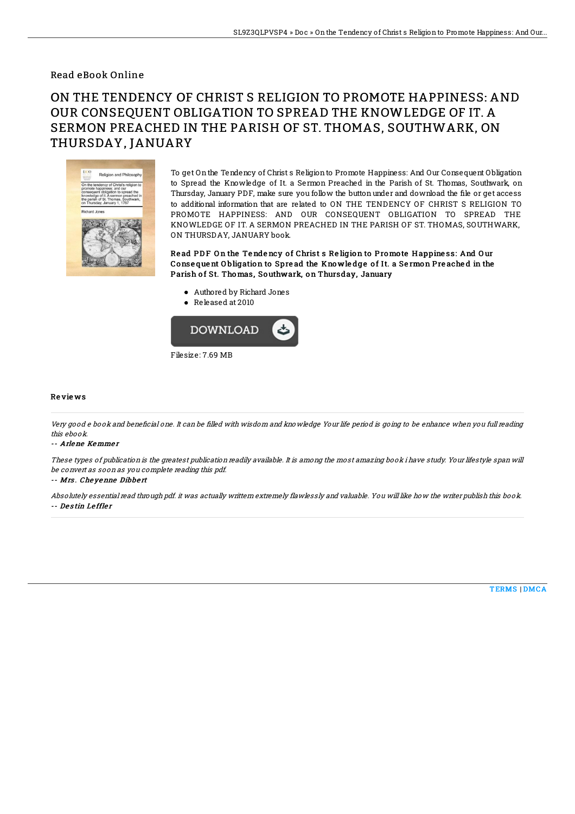### Read eBook Online

# ON THE TENDENCY OF CHRIST S RELIGION TO PROMOTE HAPPINESS: AND OUR CONSEQUENT OBLIGATION TO SPREAD THE KNOWLEDGE OF IT. A SERMON PREACHED IN THE PARISH OF ST. THOMAS, SOUTHWARK, ON THURSDAY, JANUARY



To get Onthe Tendency of Christ s Religionto Promote Happiness: And Our Consequent Obligation to Spread the Knowledge of It. a Sermon Preached in the Parish of St. Thomas, Southwark, on Thursday, January PDF, make sure you follow the button under and download the file or get access to additional information that are related to ON THE TENDENCY OF CHRIST S RELIGION TO PROMOTE HAPPINESS: AND OUR CONSEQUENT OBLIGATION TO SPREAD THE KNOWLEDGE OF IT. A SERMON PREACHED IN THE PARISH OF ST. THOMAS, SOUTHWARK, ON THURSDAY, JANUARY book.

Read PDF On the Tendency of Christ s Religion to Promote Happiness: And Our Conse que nt O bligation to Spre ad the Kno wle dge o f It. a Se rmon Pre ache d in the Parish of St. Thomas, Southwark, on Thursday, January

- Authored by Richard Jones
- Released at 2010



#### Re vie ws

Very good e book and beneficial one. It can be filled with wisdom and knowledge Your life period is going to be enhance when you full reading this ebook.

#### -- Arlene Kemme <sup>r</sup>

These types of publication is the greatest publication readily available. It is among the most amazing book i have study. Your lifestyle span will be convert as soon as you complete reading this pdf.

#### -- Mrs . Che yenne Dibbe rt

Absolutely essential read through pdf. it was actually writtern extremely flawlessly and valuable. You will like how the writer publish this book. -- De s tin Le ffle <sup>r</sup>